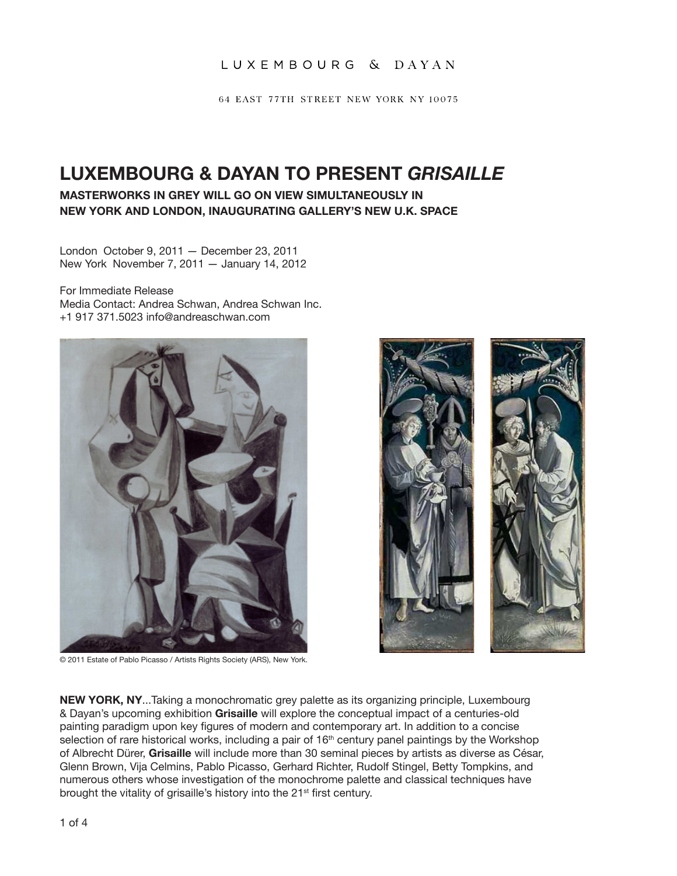64 EAST 77TH STREET NEW YORK NY 10075

# **LUXEMBOURG & DAYAN TO PRESENT** *GRISAILLE*

### **Masterworks in grey will go on view simultaneously in New York and London, inaugurating gallery's new U.K. space**

London October 9, 2011 — December 23, 2011 New York November 7, 2011 — January 14, 2012

For Immediate Release Media Contact: Andrea Schwan, Andrea Schwan Inc. +1 917 371.5023 info@andreaschwan.com



© 2011 Estate of Pablo Picasso / Artists Rights Society (ARS), New York.



**NEW YORK, NY**...Taking a monochromatic grey palette as its organizing principle, Luxembourg & Dayan's upcoming exhibition **Grisaille** will explore the conceptual impact of a centuries-old painting paradigm upon key figures of modern and contemporary art. In addition to a concise selection of rare historical works, including a pair of 16<sup>th</sup> century panel paintings by the Workshop of Albrecht Dürer, **Grisaille** will include more than 30 seminal pieces by artists as diverse as César, Glenn Brown, Vija Celmins, Pablo Picasso, Gerhard Richter, Rudolf Stingel, Betty Tompkins, and numerous others whose investigation of the monochrome palette and classical techniques have brought the vitality of grisaille's history into the 21<sup>st</sup> first century.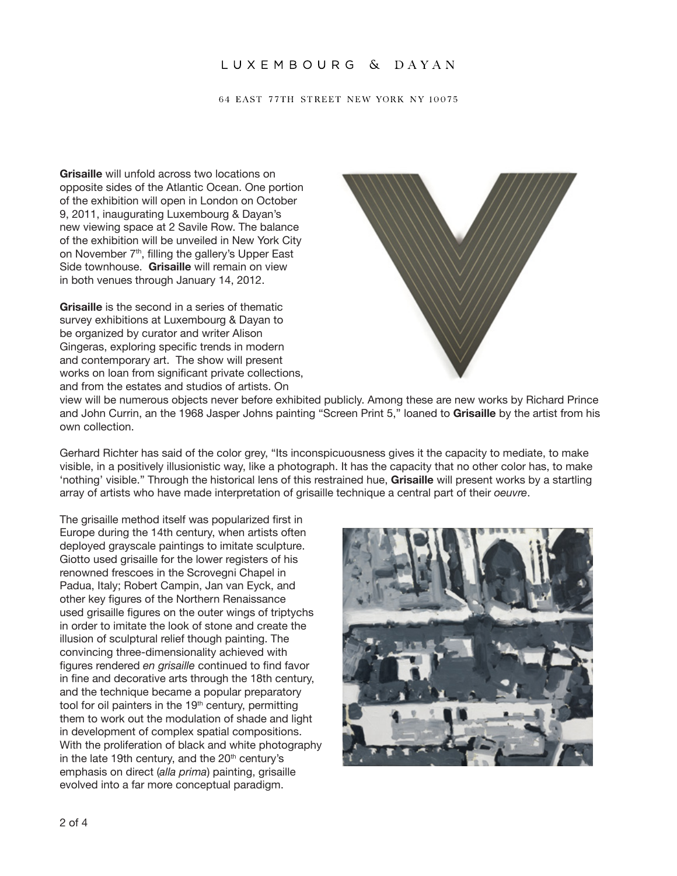#### 64 EAST 77TH STREET NEW YORK NY 10075

**Grisaille** will unfold across two locations on opposite sides of the Atlantic Ocean. One portion of the exhibition will open in London on October 9, 2011, inaugurating Luxembourg & Dayan's new viewing space at 2 Savile Row. The balance of the exhibition will be unveiled in New York City on November 7<sup>th</sup>, filling the gallery's Upper East Side townhouse. **Grisaille** will remain on view in both venues through January 14, 2012.

**Grisaille** is the second in a series of thematic survey exhibitions at Luxembourg & Dayan to be organized by curator and writer Alison Gingeras, exploring specific trends in modern and contemporary art. The show will present works on loan from significant private collections, and from the estates and studios of artists. On



view will be numerous objects never before exhibited publicly. Among these are new works by Richard Prince and John Currin, an the 1968 Jasper Johns painting "Screen Print 5," loaned to **Grisaille** by the artist from his own collection.

Gerhard Richter has said of the color grey, "Its inconspicuousness gives it the capacity to mediate, to make visible, in a positively illusionistic way, like a photograph. It has the capacity that no other color has, to make 'nothing' visible." Through the historical lens of this restrained hue, **Grisaille** will present works by a startling array of artists who have made interpretation of grisaille technique a central part of their *oeuvre*.

The grisaille method itself was popularized first in Europe during the 14th century, when artists often deployed grayscale paintings to imitate sculpture. Giotto used grisaille for the lower registers of his renowned frescoes in the Scrovegni Chapel in Padua, Italy; Robert Campin, Jan van Eyck, and other key figures of the Northern Renaissance used grisaille figures on the outer wings of triptychs in order to imitate the look of stone and create the illusion of sculptural relief though painting. The convincing three-dimensionality achieved with figures rendered *en grisaille* continued to find favor in fine and decorative arts through the 18th century, and the technique became a popular preparatory tool for oil painters in the 19<sup>th</sup> century, permitting them to work out the modulation of shade and light in development of complex spatial compositions. With the proliferation of black and white photography in the late 19th century, and the  $20<sup>th</sup>$  century's emphasis on direct (*alla prima*) painting, grisaille evolved into a far more conceptual paradigm.

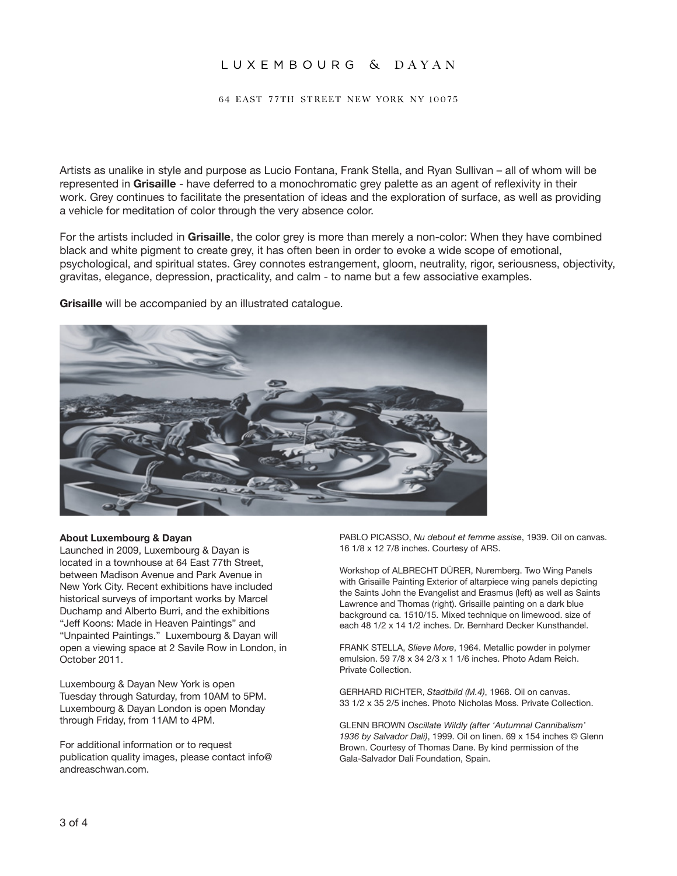64 EAST 77TH STREET NEW YORK NY 10075

Artists as unalike in style and purpose as Lucio Fontana, Frank Stella, and Ryan Sullivan – all of whom will be represented in **Grisaille** - have deferred to a monochromatic grey palette as an agent of reflexivity in their work. Grey continues to facilitate the presentation of ideas and the exploration of surface, as well as providing a vehicle for meditation of color through the very absence color.

For the artists included in **Grisaille**, the color grey is more than merely a non-color: When they have combined black and white pigment to create grey, it has often been in order to evoke a wide scope of emotional, psychological, and spiritual states. Grey connotes estrangement, gloom, neutrality, rigor, seriousness, objectivity, gravitas, elegance, depression, practicality, and calm - to name but a few associative examples.

**Grisaille** will be accompanied by an illustrated catalogue.



#### **About Luxembourg & Dayan**

Launched in 2009, Luxembourg & Dayan is located in a townhouse at 64 East 77th Street, between Madison Avenue and Park Avenue in New York City. Recent exhibitions have included historical surveys of important works by Marcel Duchamp and Alberto Burri, and the exhibitions "Jeff Koons: Made in Heaven Paintings" and "Unpainted Paintings." Luxembourg & Dayan will open a viewing space at 2 Savile Row in London, in October 2011.

Luxembourg & Dayan New York is open Tuesday through Saturday, from 10AM to 5PM. Luxembourg & Dayan London is open Monday through Friday, from 11AM to 4PM.

For additional information or to request publication quality images, please contact info@ andreaschwan.com.

Pablo Picasso, *Nu debout et femme assise*, 1939. Oil on canvas. 16 1/8 x 12 7/8 inches. Courtesy of ARS.

Workshop of ALBRECHT DÜRER, Nuremberg. Two Wing Panels with Grisaille Painting Exterior of altarpiece wing panels depicting the Saints John the Evangelist and Erasmus (left) as well as Saints Lawrence and Thomas (right). Grisaille painting on a dark blue background ca. 1510/15. Mixed technique on limewood. size of each 48 1/2 x 14 1/2 inches. Dr. Bernhard Decker Kunsthandel.

Frank Stella, *Slieve More*, 1964. Metallic powder in polymer emulsion. 59 7/8 x 34 2/3 x 1 1/6 inches. Photo Adam Reich. Private Collection.

GERHARD RICHTER, *Stadtbild (M.4)*, 1968. Oil on canvas. 33 1/2 x 35 2/5 inches. Photo Nicholas Moss. Private Collection.

Glenn Brown *Oscillate Wildly (after 'Autumnal Cannibalism' 1936 by Salvador Dali)*, 1999. Oil on linen. 69 x 154 inches © Glenn Brown. Courtesy of Thomas Dane. By kind permission of the Gala-Salvador Dalí Foundation, Spain.